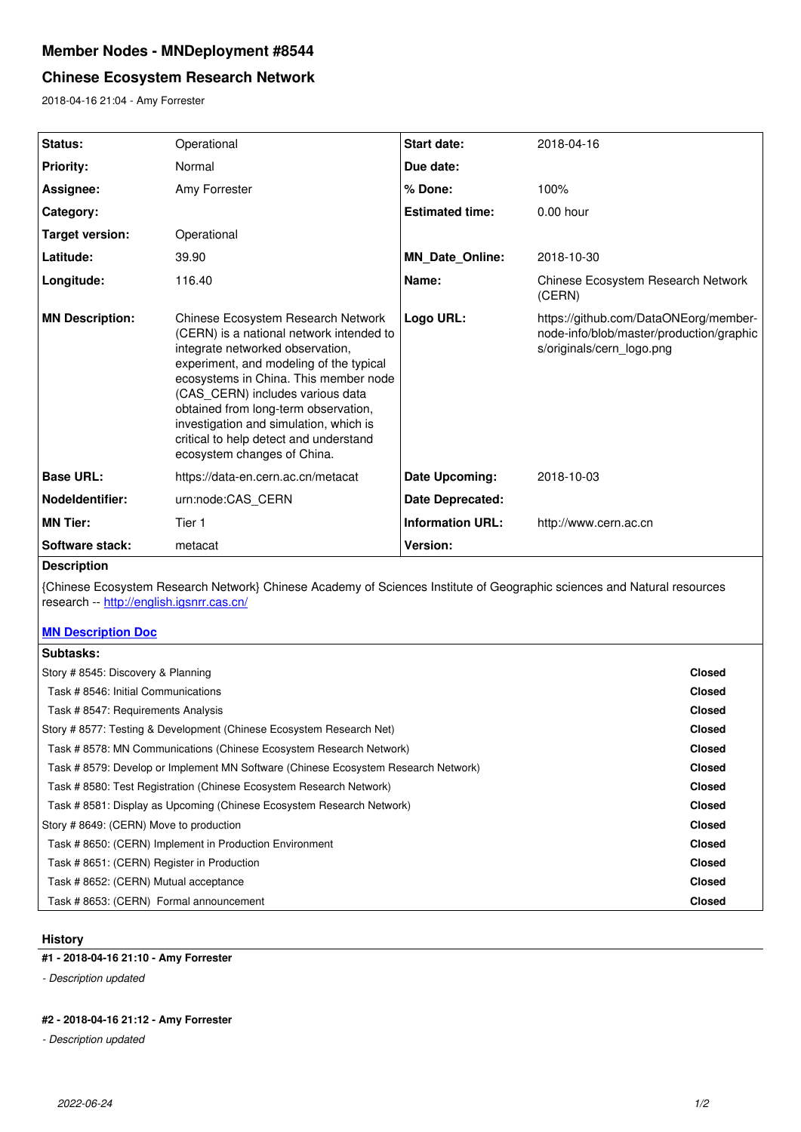# **Member Nodes - MNDeployment #8544**

# **Chinese Ecosystem Research Network**

2018-04-16 21:04 - Amy Forrester

| Status:                | Operational                                                                                                                                                                                                                                                                                                                                                                                           | <b>Start date:</b>      | 2018-04-16                                                                                                     |
|------------------------|-------------------------------------------------------------------------------------------------------------------------------------------------------------------------------------------------------------------------------------------------------------------------------------------------------------------------------------------------------------------------------------------------------|-------------------------|----------------------------------------------------------------------------------------------------------------|
| <b>Priority:</b>       | Normal                                                                                                                                                                                                                                                                                                                                                                                                | Due date:               |                                                                                                                |
| Assignee:              | Amy Forrester                                                                                                                                                                                                                                                                                                                                                                                         | % Done:                 | 100%                                                                                                           |
| Category:              |                                                                                                                                                                                                                                                                                                                                                                                                       | <b>Estimated time:</b>  | $0.00$ hour                                                                                                    |
| <b>Target version:</b> | Operational                                                                                                                                                                                                                                                                                                                                                                                           |                         |                                                                                                                |
| Latitude:              | 39.90                                                                                                                                                                                                                                                                                                                                                                                                 | <b>MN Date Online:</b>  | 2018-10-30                                                                                                     |
| Longitude:             | 116.40                                                                                                                                                                                                                                                                                                                                                                                                | Name:                   | Chinese Ecosystem Research Network<br>(CERN)                                                                   |
| <b>MN Description:</b> | Chinese Ecosystem Research Network<br>(CERN) is a national network intended to<br>integrate networked observation,<br>experiment, and modeling of the typical<br>ecosystems in China. This member node<br>(CAS CERN) includes various data<br>obtained from long-term observation,<br>investigation and simulation, which is<br>critical to help detect and understand<br>ecosystem changes of China. | Logo URL:               | https://github.com/DataONEorg/member-<br>node-info/blob/master/production/graphic<br>s/originals/cern_logo.png |
| <b>Base URL:</b>       | https://data-en.cern.ac.cn/metacat                                                                                                                                                                                                                                                                                                                                                                    | Date Upcoming:          | 2018-10-03                                                                                                     |
| Nodeldentifier:        | urn:node:CAS CERN                                                                                                                                                                                                                                                                                                                                                                                     | Date Deprecated:        |                                                                                                                |
| <b>MN Tier:</b>        | Tier 1                                                                                                                                                                                                                                                                                                                                                                                                | <b>Information URL:</b> | http://www.cern.ac.cn                                                                                          |
| Software stack:        | metacat                                                                                                                                                                                                                                                                                                                                                                                               | Version:                |                                                                                                                |
| <b>Description</b>     |                                                                                                                                                                                                                                                                                                                                                                                                       |                         |                                                                                                                |
|                        | Chinese Ecosystem Research Network) Chinese Academy of Sciences Institute of Geographic sciences and Natural resources                                                                                                                                                                                                                                                                                |                         |                                                                                                                |

{Chinese Ecosystem Research Network} Chinese Academy of Sciences Institute of Geographic sciences and Natural resources research -- <u>http://english.igsnrr.cas.cn/</u>

# **[MN Description Doc](https://drive.google.com/open?id=1yF7vEWyG5xYGLmOT8Hf3uJCGH3ar9-wQcLIMSHaHfCg)**

| Subtasks:                                                                          |               |  |  |  |
|------------------------------------------------------------------------------------|---------------|--|--|--|
| Story # 8545: Discovery & Planning                                                 |               |  |  |  |
| Task # 8546: Initial Communications                                                | <b>Closed</b> |  |  |  |
| Task # 8547: Requirements Analysis                                                 | <b>Closed</b> |  |  |  |
| Story #8577: Testing & Development (Chinese Ecosystem Research Net)                | <b>Closed</b> |  |  |  |
| Task #8578: MN Communications (Chinese Ecosystem Research Network)                 | <b>Closed</b> |  |  |  |
| Task # 8579: Develop or Implement MN Software (Chinese Ecosystem Research Network) | <b>Closed</b> |  |  |  |
| Task # 8580: Test Registration (Chinese Ecosystem Research Network)                | <b>Closed</b> |  |  |  |
| Task #8581: Display as Upcoming (Chinese Ecosystem Research Network)               | <b>Closed</b> |  |  |  |
| Story #8649: (CERN) Move to production                                             | <b>Closed</b> |  |  |  |
| Task # 8650: (CERN) Implement in Production Environment                            | <b>Closed</b> |  |  |  |
| Task # 8651: (CERN) Register in Production                                         | <b>Closed</b> |  |  |  |
| Task # 8652: (CERN) Mutual acceptance                                              | <b>Closed</b> |  |  |  |
| Task # 8653: (CERN) Formal announcement                                            | <b>Closed</b> |  |  |  |

## **History**

## **#1 - 2018-04-16 21:10 - Amy Forrester**

*- Description updated*

## **#2 - 2018-04-16 21:12 - Amy Forrester**

*- Description updated*